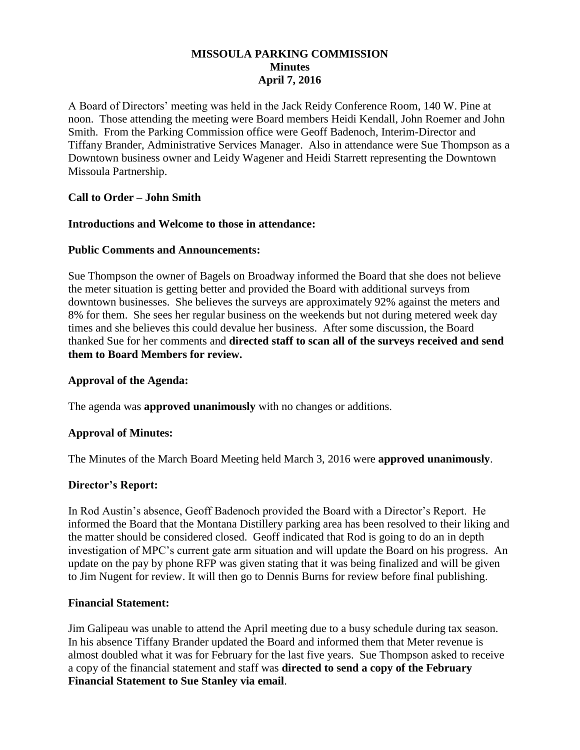# **MISSOULA PARKING COMMISSION Minutes April 7, 2016**

A Board of Directors' meeting was held in the Jack Reidy Conference Room, 140 W. Pine at noon. Those attending the meeting were Board members Heidi Kendall, John Roemer and John Smith. From the Parking Commission office were Geoff Badenoch, Interim-Director and Tiffany Brander, Administrative Services Manager. Also in attendance were Sue Thompson as a Downtown business owner and Leidy Wagener and Heidi Starrett representing the Downtown Missoula Partnership.

## **Call to Order – John Smith**

#### **Introductions and Welcome to those in attendance:**

#### **Public Comments and Announcements:**

Sue Thompson the owner of Bagels on Broadway informed the Board that she does not believe the meter situation is getting better and provided the Board with additional surveys from downtown businesses. She believes the surveys are approximately 92% against the meters and 8% for them. She sees her regular business on the weekends but not during metered week day times and she believes this could devalue her business. After some discussion, the Board thanked Sue for her comments and **directed staff to scan all of the surveys received and send them to Board Members for review.**

#### **Approval of the Agenda:**

The agenda was **approved unanimously** with no changes or additions.

## **Approval of Minutes:**

The Minutes of the March Board Meeting held March 3, 2016 were **approved unanimously**.

## **Director's Report:**

In Rod Austin's absence, Geoff Badenoch provided the Board with a Director's Report. He informed the Board that the Montana Distillery parking area has been resolved to their liking and the matter should be considered closed. Geoff indicated that Rod is going to do an in depth investigation of MPC's current gate arm situation and will update the Board on his progress. An update on the pay by phone RFP was given stating that it was being finalized and will be given to Jim Nugent for review. It will then go to Dennis Burns for review before final publishing.

#### **Financial Statement:**

Jim Galipeau was unable to attend the April meeting due to a busy schedule during tax season. In his absence Tiffany Brander updated the Board and informed them that Meter revenue is almost doubled what it was for February for the last five years. Sue Thompson asked to receive a copy of the financial statement and staff was **directed to send a copy of the February Financial Statement to Sue Stanley via email**.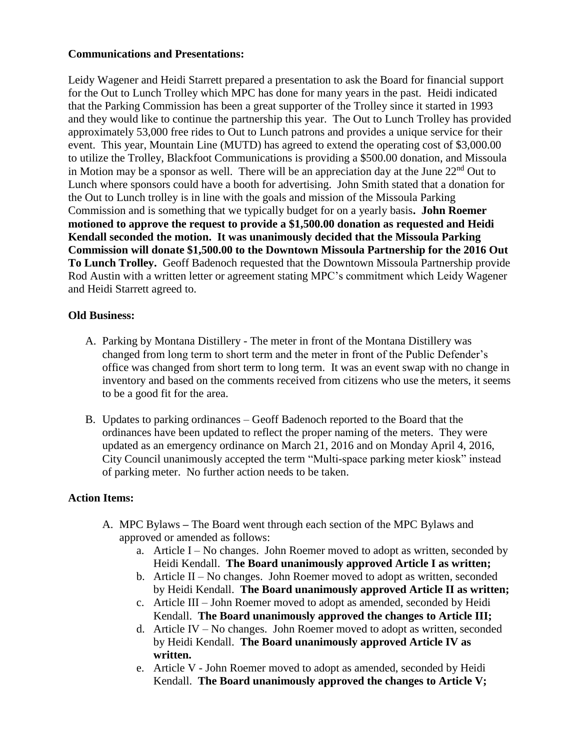#### **Communications and Presentations:**

Leidy Wagener and Heidi Starrett prepared a presentation to ask the Board for financial support for the Out to Lunch Trolley which MPC has done for many years in the past. Heidi indicated that the Parking Commission has been a great supporter of the Trolley since it started in 1993 and they would like to continue the partnership this year. The Out to Lunch Trolley has provided approximately 53,000 free rides to Out to Lunch patrons and provides a unique service for their event. This year, Mountain Line (MUTD) has agreed to extend the operating cost of \$3,000.00 to utilize the Trolley, Blackfoot Communications is providing a \$500.00 donation, and Missoula in Motion may be a sponsor as well. There will be an appreciation day at the June  $22<sup>nd</sup>$  Out to Lunch where sponsors could have a booth for advertising. John Smith stated that a donation for the Out to Lunch trolley is in line with the goals and mission of the Missoula Parking Commission and is something that we typically budget for on a yearly basis**. John Roemer motioned to approve the request to provide a \$1,500.00 donation as requested and Heidi Kendall seconded the motion. It was unanimously decided that the Missoula Parking Commission will donate \$1,500.00 to the Downtown Missoula Partnership for the 2016 Out To Lunch Trolley.** Geoff Badenoch requested that the Downtown Missoula Partnership provide Rod Austin with a written letter or agreement stating MPC's commitment which Leidy Wagener and Heidi Starrett agreed to.

### **Old Business:**

- A. Parking by Montana Distillery The meter in front of the Montana Distillery was changed from long term to short term and the meter in front of the Public Defender's office was changed from short term to long term. It was an event swap with no change in inventory and based on the comments received from citizens who use the meters, it seems to be a good fit for the area.
- B. Updates to parking ordinances Geoff Badenoch reported to the Board that the ordinances have been updated to reflect the proper naming of the meters. They were updated as an emergency ordinance on March 21, 2016 and on Monday April 4, 2016, City Council unanimously accepted the term "Multi-space parking meter kiosk" instead of parking meter. No further action needs to be taken.

## **Action Items:**

- A. MPC Bylaws **–** The Board went through each section of the MPC Bylaws and approved or amended as follows:
	- a. Article I No changes. John Roemer moved to adopt as written, seconded by Heidi Kendall. **The Board unanimously approved Article I as written;**
	- b. Article II No changes. John Roemer moved to adopt as written, seconded by Heidi Kendall. **The Board unanimously approved Article II as written;**
	- c. Article III John Roemer moved to adopt as amended, seconded by Heidi Kendall. **The Board unanimously approved the changes to Article III;**
	- d. Article IV No changes. John Roemer moved to adopt as written, seconded by Heidi Kendall. **The Board unanimously approved Article IV as written.**
	- e. Article V John Roemer moved to adopt as amended, seconded by Heidi Kendall. **The Board unanimously approved the changes to Article V;**